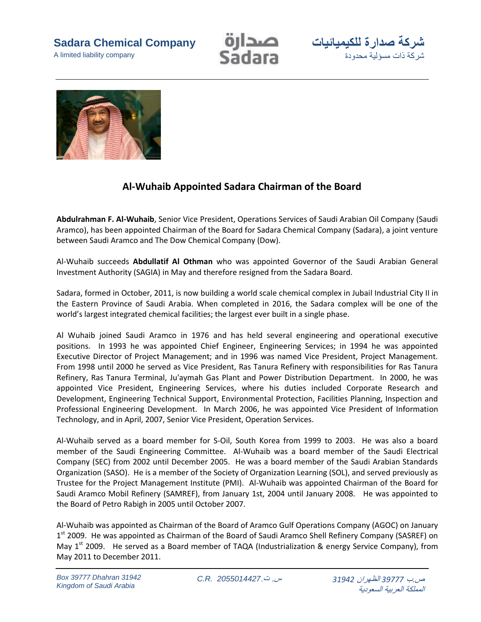**Sadara Chemical Company**

A limited liability company







## **Al-Wuhaib Appointed Sadara Chairman of the Board**

**Abdulrahman F. Al-Wuhaib**, Senior Vice President, Operations Services of Saudi Arabian Oil Company (Saudi Aramco), has been appointed Chairman of the Board for Sadara Chemical Company (Sadara), a joint venture between Saudi Aramco and The Dow Chemical Company (Dow).

Al-Wuhaib succeeds **Abdullatif Al Othman** who was appointed Governor of the Saudi Arabian General Investment Authority (SAGIA) in May and therefore resigned from the Sadara Board.

Sadara, formed in October, 2011, is now building a world scale chemical complex in Jubail Industrial City II in the Eastern Province of Saudi Arabia. When completed in 2016, the Sadara complex will be one of the world's largest integrated chemical facilities; the largest ever built in a single phase.

Al Wuhaib joined Saudi Aramco in 1976 and has held several engineering and operational executive positions. In 1993 he was appointed Chief Engineer, Engineering Services; in 1994 he was appointed Executive Director of Project Management; and in 1996 was named Vice President, Project Management. From 1998 until 2000 he served as Vice President, Ras Tanura Refinery with responsibilities for Ras Tanura Refinery, Ras Tanura Terminal, Ju'aymah Gas Plant and Power Distribution Department. In 2000, he was appointed Vice President, Engineering Services, where his duties included Corporate Research and Development, Engineering Technical Support, Environmental Protection, Facilities Planning, Inspection and Professional Engineering Development. In March 2006, he was appointed Vice President of Information Technology, and in April, 2007, Senior Vice President, Operation Services.

Al-Wuhaib served as a board member for S-Oil, South Korea from 1999 to 2003. He was also a board member of the Saudi Engineering Committee. Al-Wuhaib was a board member of the Saudi Electrical Company (SEC) from 2002 until December 2005. He was a board member of the Saudi Arabian Standards Organization (SASO). He is a member of the Society of Organization Learning (SOL), and served previously as Trustee for the Project Management Institute (PMI). Al-Wuhaib was appointed Chairman of the Board for Saudi Aramco Mobil Refinery (SAMREF), from January 1st, 2004 until January 2008. He was appointed to the Board of Petro Rabigh in 2005 until October 2007.

Al-Wuhaib was appointed as Chairman of the Board of Aramco Gulf Operations Company (AGOC) on January 1<sup>st</sup> 2009. He was appointed as Chairman of the Board of Saudi Aramco Shell Refinery Company (SASREF) on May  $1^{st}$  2009. He served as a Board member of TAQA (Industrialization & energy Service Company), from May 2011 to December 2011.